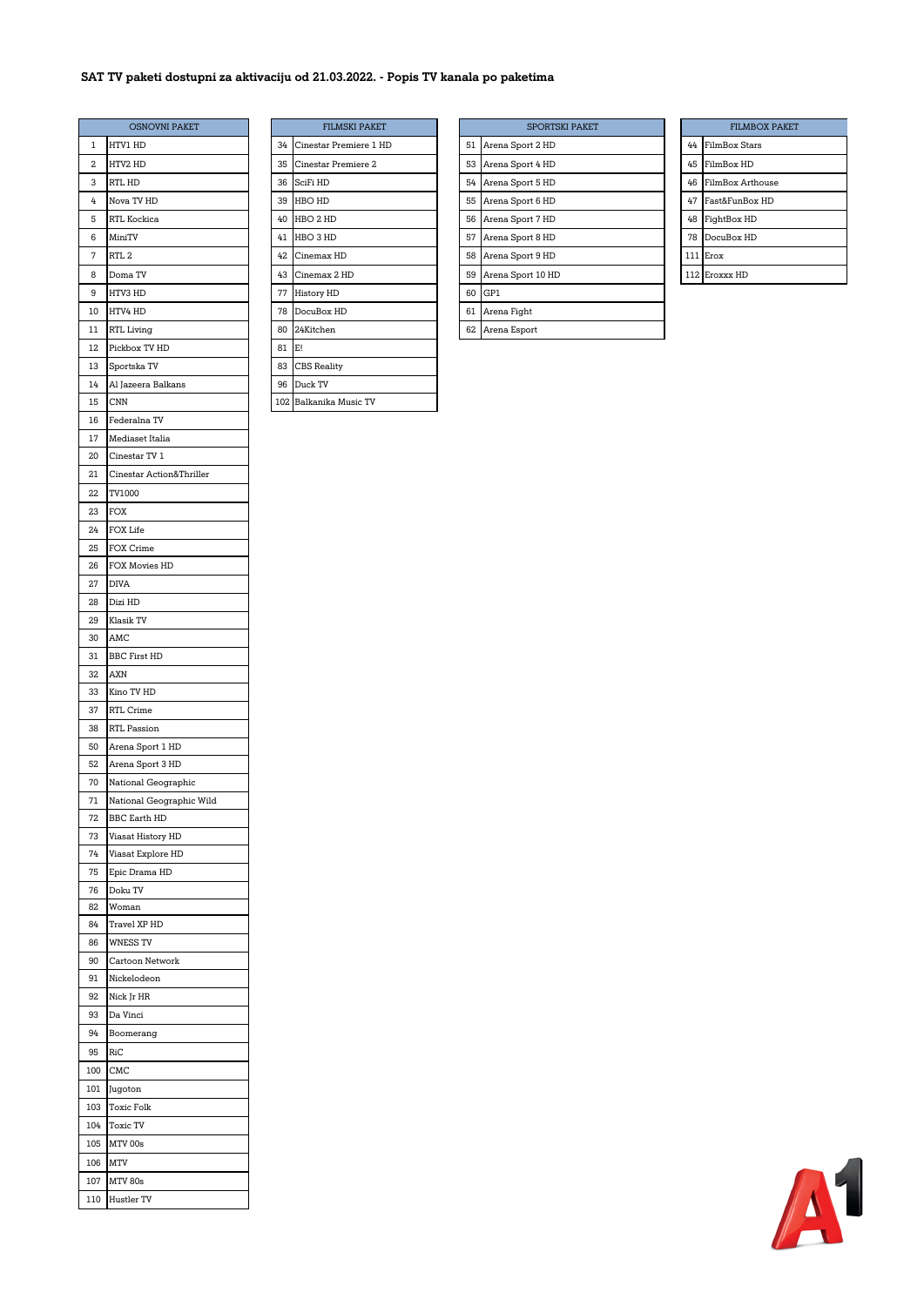## **SAT TV paketi dostupni za aktivaciju od 21.03.2022. - Popis TV kanala po paketima**

|     | <b>OSNOVNI PAKET</b>     |       | <b>FILMSKI PAKET</b>   |    |    | <b>SP</b>    |
|-----|--------------------------|-------|------------------------|----|----|--------------|
| 1   | HTV1 HD                  | 34    | Cinestar Premiere 1 HD |    | 51 | Arena Sport  |
| 2   | HTV2 HD                  | 35    | Cinestar Premiere 2    | 53 |    | Arena Sport  |
| 3   | RTL HD                   | 36    | SciFi HD               |    | 54 | Arena Sport  |
| 4   | Nova TV HD               | 39    | HBO HD                 |    | 55 | Arena Sport  |
| 5   | RTL Kockica              | 40    | HBO 2 HD               |    | 56 | Arena Sport  |
|     |                          |       |                        |    |    |              |
| 6   | MiniTV                   |       | 41 HBO 3 HD            | 57 |    | Arena Sport  |
| 7   | RTL 2                    | 42    | Cinemax HD             |    | 58 | Arena Sport  |
| 8   | Doma TV                  | 43    | Cinemax 2 HD           |    | 59 | Arena Sport  |
| 9   | HTV3 HD                  |       | 77 History HD          |    | 60 | GP1          |
| 10  | HTV4 HD                  |       | 78 DocuBox HD          | 61 |    | Arena Fight  |
| 11  | RTL Living               |       | 80 24Kitchen           |    | 62 | Arena Esport |
| 12  | Pickbox TV HD            | 81 E! |                        |    |    |              |
| 13  | Sportska TV              | 83    | <b>CBS</b> Reality     |    |    |              |
| 14  | Al Jazeera Balkans       |       | 96 Duck TV             |    |    |              |
| 15  | CNN                      |       | 102 Balkanika Music TV |    |    |              |
| 16  | Federalna TV             |       |                        |    |    |              |
| 17  | Mediaset Italia          |       |                        |    |    |              |
| 20  | Cinestar TV 1            |       |                        |    |    |              |
| 21  | Cinestar Action&Thriller |       |                        |    |    |              |
| 22  | TV1000                   |       |                        |    |    |              |
| 23  | FOX                      |       |                        |    |    |              |
| 24  | FOX Life                 |       |                        |    |    |              |
| 25  | FOX Crime                |       |                        |    |    |              |
| 26  | FOX Movies HD            |       |                        |    |    |              |
| 27  | <b>DIVA</b>              |       |                        |    |    |              |
| 28  | Dizi HD                  |       |                        |    |    |              |
| 29  | Klasik TV                |       |                        |    |    |              |
| 30  | AMC                      |       |                        |    |    |              |
| 31  | <b>BBC First HD</b>      |       |                        |    |    |              |
| 32  | AXN                      |       |                        |    |    |              |
| 33  | Kino TV HD               |       |                        |    |    |              |
| 37  | RTL Crime                |       |                        |    |    |              |
| 38  | RTL Passion              |       |                        |    |    |              |
| 50  | Arena Sport 1 HD         |       |                        |    |    |              |
| 52  | Arena Sport 3 HD         |       |                        |    |    |              |
| 70  | National Geographic      |       |                        |    |    |              |
| 71  | National Geographic Wild |       |                        |    |    |              |
| 72  | <b>BBC Earth HD</b>      |       |                        |    |    |              |
| 73  | Viasat History HD        |       |                        |    |    |              |
| 74  | Viasat Explore HD        |       |                        |    |    |              |
| 75  | Epic Drama HD            |       |                        |    |    |              |
| 76  | Doku TV                  |       |                        |    |    |              |
| 82  | Woman                    |       |                        |    |    |              |
| 84  | Travel XP HD             |       |                        |    |    |              |
| 86  | <b>WNESS TV</b>          |       |                        |    |    |              |
| 90  | Cartoon Network          |       |                        |    |    |              |
| 91  | Nickelodeon              |       |                        |    |    |              |
| 92  | Nick Jr HR               |       |                        |    |    |              |
| 93  | Da Vinci                 |       |                        |    |    |              |
| 94  | Boomerang                |       |                        |    |    |              |
| 95  | RiC                      |       |                        |    |    |              |
| 100 | CMC                      |       |                        |    |    |              |
| 101 | Jugoton                  |       |                        |    |    |              |
| 103 | Toxic Folk               |       |                        |    |    |              |
| 104 | Toxic TV                 |       |                        |    |    |              |
| 105 | MTV 00s                  |       |                        |    |    |              |
| 106 | MTV                      |       |                        |    |    |              |
| 107 | <b>MTV 80s</b>           |       |                        |    |    |              |
| 110 | Hustler TV               |       |                        |    |    |              |
|     |                          |       |                        |    |    |              |

| <b>OSNOVNI PAKET</b> |    | <b>FILMSKI PAKET</b>   |    | <b>SPORTSKI PAKET</b> |
|----------------------|----|------------------------|----|-----------------------|
| . HD                 | 34 | Cinestar Premiere 1 HD | 51 | Arena Sport 2 HD      |
| HD:                  | 35 | Cinestar Premiere 2    | 53 | Arena Sport 4 HD      |
| Œ                    | 36 | SciFi HD               | 54 | Arena Sport 5 HD      |
| TV HD                | 39 | <b>HBO HD</b>          | 55 | Arena Sport 6 HD      |
| Kockica              | 40 | HBO 2 HD               | 56 | Arena Sport 7 HD      |
| ľV                   | 41 | HBO 3 HD               | 57 | Arena Sport 8 HD      |
|                      | 42 | Cinemax HD             | 58 | Arena Sport 9 HD      |
| a TV                 | 43 | Cinemax 2 HD           | 59 | Arena Sport 10 HD     |
| HD.                  | 77 | History HD             | 60 | GP1                   |
| ⊦ HD                 | 78 | DocuBox HD             | 61 | Arena Fight           |
| iving                | 80 | 24Kitchen              | 62 | Arena Esport          |
| ox TV HD             | 81 | E!                     |    |                       |
| tska TV              | 83 | <b>CBS</b> Reality     |    |                       |
| zeera Balkans        | 96 | Duck TV                |    |                       |
|                      |    | 102 Balkanika Music TV |    |                       |

|    | <b>OSNOVNI PAKET</b> |    | <b>FILMSKI PAKET</b>   |  |    | <b>SPORTSKI PAKET</b> |    | <b>FILMBOX PA</b> |
|----|----------------------|----|------------------------|--|----|-----------------------|----|-------------------|
|    | HTV1 HD              | 34 | Cinestar Premiere 1 HD |  | 51 | Arena Sport 2 HD      | 44 | FilmBox Stars     |
| 2  | HTV2 HD              | 35 | Cinestar Premiere 2    |  | 53 | Arena Sport 4 HD      | 45 | FilmBox HD        |
| 3  | RTL HD               | 36 | SciFi HD               |  |    | 54 Arena Sport 5 HD   | 46 | FilmBox Arthouse  |
| 4  | Nova TV HD           | 39 | HBO HD                 |  | 55 | Arena Sport 6 HD      | 47 | Fast&FunBox HD    |
| 5  | <b>RTL Kockica</b>   | 40 | HBO 2 HD               |  | 56 | Arena Sport 7 HD      | 48 | FightBox HD       |
| 6  | MiniTV               | 41 | HBO 3 HD               |  | 57 | Arena Sport 8 HD      | 78 | DocuBox HD        |
| 7  | RTL <sub>2</sub>     | 42 | Cinemax HD             |  | 58 | Arena Sport 9 HD      |    | 111 Erox          |
| 8  | Doma TV              | 43 | Cinemax 2 HD           |  | 59 | Arena Sport 10 HD     |    | 112 Eroxxx HD     |
| 9  | HTV3 HD              | 77 | <b>History HD</b>      |  | 60 | GP1                   |    |                   |
| ١O | HTV4 HD              | 78 | DocuBox HD             |  | 61 | Arena Fight           |    |                   |
|    | RTL Living           |    | 80 24Kitchen           |  |    | 62 Arena Esport       |    |                   |

|     | <b>FILMBOX PAKET</b> |
|-----|----------------------|
| 44  | <b>FilmBox Stars</b> |
| 45  | FilmBox HD           |
| 46  | FilmBox Arthouse     |
| 47  | Fast&FunBox HD       |
| 48  | FightBox HD          |
| 78  | DocuBox HD           |
| 111 | Erox                 |
|     | 112 Eroxxx HD        |

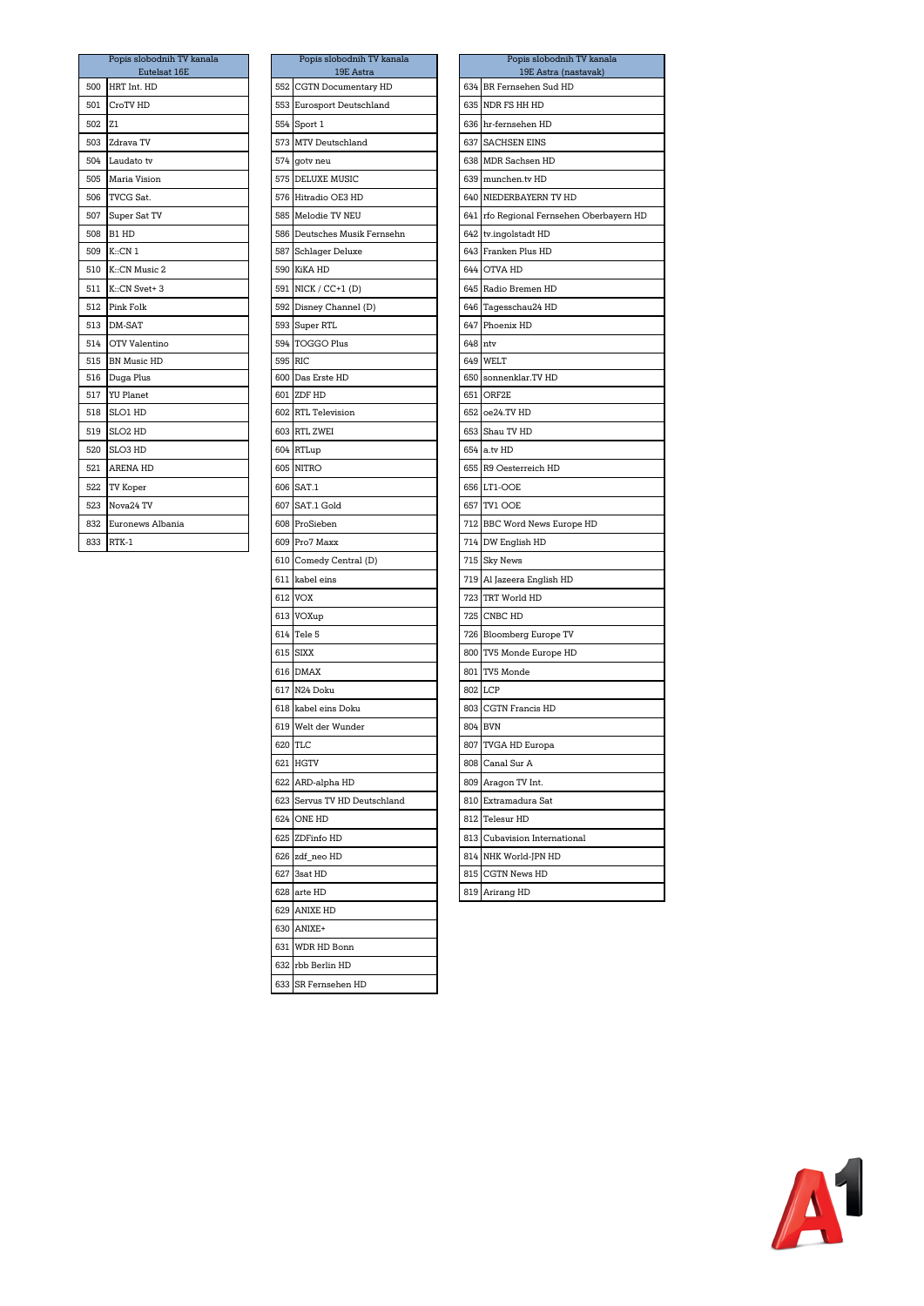|     | Popis slobodnih TV kanala<br>Eutelsat 16E | Popis slobodnih TV kanala<br>19E Astra | Popis slobodnih TV ka<br>19E Astra (nastava |
|-----|-------------------------------------------|----------------------------------------|---------------------------------------------|
| 500 | HRT Int. HD                               | 552 CGTN Documentary HD                | 634 BR Fernsehen Sud HD                     |
| 501 | CroTV HD                                  | 553 Eurosport Deutschland              | 635 NDR FS HH HD                            |
| 502 | Z <sub>1</sub>                            | 554 Sport 1                            | 636 hr-fernsehen HD                         |
| 503 | Zdrava TV                                 | 573 MTV Deutschland                    | 637 SACHSEN EINS                            |
| 504 | Laudato tv                                | 574 goty neu                           | 638 MDR Sachsen HD                          |
| 505 | Maria Vision                              | 575 DELUXE MUSIC                       | 639 munchen.tv HD                           |
| 506 | TVCG Sat.                                 | 576 Hitradio OE3 HD                    | 640 NIEDERBAYERN TV HD                      |
| 507 | Super Sat TV                              | 585 Melodie TV NEU                     | 641 rfo Regional Fernsehen Obe              |
| 508 | B1 HD                                     | 586 Deutsches Musik Fernsehn           | 642 tv.ingolstadt HD                        |
| 509 | K::CN 1                                   | 587 Schlager Deluxe                    | 643 Franken Plus HD                         |
| 510 | K::CN Music 2                             | 590 KiKA HD                            | 644 OTVA HD                                 |
| 511 | K::CN Svet+3                              | 591 NICK / CC+1 (D)                    | 645 Radio Bremen HD                         |
| 512 | Pink Folk                                 | 592 Disney Channel (D)                 | 646 Tagesschau24 HD                         |
| 513 | DM-SAT                                    | 593 Super RTL                          | 647 Phoenix HD                              |
| 514 | OTV Valentino                             | 594 TOGGO Plus                         | 648 ntv                                     |
| 515 | <b>BN Music HD</b>                        | 595 RIC                                | 649 WELT                                    |
| 516 | Duga Plus                                 | 600 Das Erste HD                       | 650 sonnenklar.TV HD                        |
| 517 | <b>YU</b> Planet                          | 601 ZDF HD                             | 651 ORF2E                                   |
| 518 | SLO1 HD                                   | 602 RTL Television                     | 652 oe24.TV HD                              |
| 519 | SLO <sub>2</sub> HD                       | 603 RTL ZWEI                           | 653 Shau TV HD                              |
| 520 | SLO3 HD                                   | 604 RTLup                              | 654 a.tv HD                                 |
| 521 | <b>ARENA HD</b>                           | 605 NITRO                              | 655 R9 Oesterreich HD                       |
| 522 | TV Koper                                  | 606 SAT.1                              | 656 LT1-OOE                                 |
| 523 | Nova24 TV                                 | 607 SAT.1 Gold                         | 657 TV1 OOE                                 |
| 832 | Euronews Albania                          | 608 ProSieben                          | 712 BBC Word News Europe HD                 |
| 833 | RTK-1                                     | 609 Pro7 Maxx                          | 714 DW English HD                           |
|     |                                           |                                        |                                             |

|         | Popis slobodnih TV kanala<br>19E Astra |         | Popis slobodnih TV<br>19E Astra (nasta |
|---------|----------------------------------------|---------|----------------------------------------|
|         | 552 CGTN Documentary HD                |         | 634 BR Fernsehen Sud HD                |
| 553     | Eurosport Deutschland                  |         | 635 NDR FS HH HD                       |
| 554     | Sport 1                                |         | 636 hr-fernsehen HD                    |
| 573     | MTV Deutschland                        | 637     | <b>SACHSEN EINS</b>                    |
| 574     | goty neu                               |         | 638 MDR Sachsen HD                     |
| 575     | DELUXE MUSIC                           |         | 639 munchen.tv HD                      |
|         | 576 Hitradio OE3 HD                    |         | 640 NIEDERBAYERN TV HD                 |
|         | 585 Melodie TV NEU                     |         | 641 rfo Regional Fernsehen (           |
|         | 586 Deutsches Musik Fernsehn           |         | 642 tv.ingolstadt HD                   |
| 587     | <b>Schlager Deluxe</b>                 |         | 643 Franken Plus HD                    |
|         | 590 KiKA HD                            |         | 644 OTVA HD                            |
|         | 591 NICK / CC+1 (D)                    |         | 645 Radio Bremen HD                    |
|         | 592 Disney Channel (D)                 |         | 646 Tagesschau24 HD                    |
|         | 593 Super RTL                          |         | 647 Phoenix HD                         |
|         | 594 TOGGO Plus                         | 648 ntv |                                        |
| 595 RIC |                                        |         | 649 WELT                               |
|         | 600 Das Erste HD                       |         | 650 sonnenklar.TV HD                   |
|         | 601 ZDF HD                             |         | 651 ORF2E                              |
|         | 602 RTL Television                     |         | 652 oe24.TV HD                         |
|         | 603 RTL ZWEI                           |         | 653 Shau TV HD                         |
| 604     | RTLup                                  |         | 654 a.tv HD                            |
|         | 605 NITRO                              |         | 655 R9 Oesterreich HD                  |
| 606     | SAT.1                                  |         | 656 LT1-OOE                            |
| 607     | SAT.1 Gold                             |         | 657 TV1 OOE                            |
|         | 608 ProSieben                          |         | 712 BBC Word News Europe               |
|         | 609 Pro7 Maxx                          |         | 714 DW English HD                      |
|         | 610 Comedy Central (D)                 |         | 715 Sky News                           |
|         | 611 kabel eins                         |         | 719 Al Jazeera English HD              |
|         | 612 VOX                                |         | 723 TRT World HD                       |
|         | 613 VOXup                              |         | 725 CNBC HD                            |
|         | 614 Tele 5                             |         | 726 Bloomberg Europe TV                |
|         | 615 SIXX                               |         | 800 TV5 Monde Europe HD                |
|         | 616 DMAX                               |         | 801 TV5 Monde                          |
|         | 617 N24 Doku                           |         | 802 LCP                                |
|         | 618 kabel eins Doku                    |         | 803 CGTN Francis HD                    |
|         | 619 Welt der Wunder                    |         | 804 BVN                                |
|         | 620 TLC                                |         | 807 TVGA HD Europa                     |
|         | 621 HGTV                               |         | 808 Canal Sur A                        |
|         | 622 ARD-alpha HD                       |         | 809 Aragon TV Int.                     |
|         | 623 Servus TV HD Deutschland           |         | 810 Extramadura Sat                    |
|         | 624 ONE HD                             |         | 812 Telesur HD                         |
|         | 625 ZDFinfo HD                         |         | 813 Cubavision International           |
|         | 626 zdf_neo HD                         |         | 814 NHK World-JPN HD                   |
| 627     | 3sat HD                                | 815     | CGTN News HD                           |
| 628     | arte HD                                | 819     | Arirang HD                             |
| 629     | ANIXE HD                               |         |                                        |
| 630     | ANIXE+                                 |         |                                        |
| 631     | WDR HD Bonn                            |         |                                        |
| 632     | rbb Berlin HD                          |         |                                        |
| 633     | SR Fernsehen HD                        |         |                                        |

|     | Popis slobodnih TV kanala      |     | Popis slobodnih TV kanala            |         | Popis slobodnih TV kanala                       |
|-----|--------------------------------|-----|--------------------------------------|---------|-------------------------------------------------|
| 500 | Eutelsat 16E<br>HRT Int. HD    |     | 19E Astra<br>552 CGTN Documentary HD |         | 19E Astra (nastavak)<br>634 BR Fernsehen Sud HD |
|     |                                |     |                                      |         | NDR FS HH HD                                    |
| 501 | CroTV HD                       |     | 553 Eurosport Deutschland            | 635     |                                                 |
| 502 | Z <sub>1</sub>                 |     | 554 Sport 1                          |         | 636 hr-fernsehen HD                             |
| 503 | Zdrava TV                      |     | 573 MTV Deutschland                  | 637     | <b>SACHSEN EINS</b>                             |
| 504 | Laudato tv                     | 574 | gotv neu                             | 638     | MDR Sachsen HD                                  |
| 505 | Maria Vision                   | 575 | DELUXE MUSIC                         | 639     | munchen.tv HD                                   |
| 506 | TVCG Sat.                      | 576 | Hitradio OE3 HD                      | 640     | NIEDERBAYERN TV HD                              |
| 507 | Super Sat TV                   | 585 | Melodie TV NEU                       | 641     | rfo Regional Fernsehen Oberbayern HD            |
| 508 | B1 HD                          |     | 586 Deutsches Musik Fernsehn         |         | 642 tv.ingolstadt HD                            |
| 509 | K::CN 1                        |     | 587 Schlager Deluxe                  |         | 643 Franken Plus HD                             |
|     | 510 K::CN Music 2              |     | 590 KiKA HD                          |         | 644 OTVA HD                                     |
|     | 511 K::CN Svet+ 3              |     | 591 NICK / CC+1 (D)                  |         | 645 Radio Bremen HD                             |
|     | 512 Pink Folk                  |     | 592 Disney Channel (D)               |         | 646 Tagesschau24 HD                             |
|     | 513 DM-SAT                     |     | 593 Super RTL                        |         | 647 Phoenix HD                                  |
|     | 514 OTV Valentino              |     | 594 TOGGO Plus                       | 648 ntv |                                                 |
|     | 515 BN Music HD                |     | 595 RIC                              | 649     | WELT                                            |
|     | 516 Duga Plus                  |     | 600 Das Erste HD                     |         | 650 sonnenklar.TV HD                            |
| 517 | <b>YU Planet</b>               | 601 | ZDF HD<br>602 RTL Television         | 651     | ORF2E                                           |
| 518 | SLO1 HD<br>SLO <sub>2</sub> HD |     | 603 RTL ZWEI                         | 652     | oe24.TV HD                                      |
| 519 |                                |     |                                      |         | 653 Shau TV HD                                  |
| 520 | SLO3 HD                        |     | 604 RTLup                            |         | 654 a.tv HD                                     |
| 521 | <b>ARENA HD</b>                |     | 605 NITRO                            |         | 655 R9 Oesterreich HD                           |
| 522 | TV Koper                       |     | 606 SAT.1                            |         | 656 LT1-OOE                                     |
| 523 | Nova24 TV                      | 607 | SAT.1 Gold                           |         | 657 TV1 OOE                                     |
| 832 | Euronews Albania               | 608 | ProSieben                            |         | 712 BBC Word News Europe HD                     |
| 833 | RTK-1                          | 609 | Pro7 Maxx                            |         | 714 DW English HD                               |
|     |                                | 610 | Comedy Central (D)                   |         | 715 Sky News                                    |
|     |                                | 611 | kabel eins                           |         | 719 Al Jazeera English HD                       |
|     |                                | 612 | VOX                                  | 723     | TRT World HD                                    |
|     |                                | 613 | VOXup                                | 725     | CNBC HD                                         |
|     |                                | 614 | Tele 5                               |         | 726 Bloomberg Europe TV                         |
|     |                                |     | 615 SIXX                             |         | 800 TV5 Monde Europe HD                         |
|     |                                |     | 616 DMAX                             | 801     | TV5 Monde                                       |
|     |                                |     | 617 N24 Doku                         |         | 802 LCP                                         |
|     |                                |     | 618 kabel eins Doku                  |         | 803 CGTN Francis HD                             |
|     |                                |     | 619 Welt der Wunder                  |         | 804 BVN                                         |
|     |                                |     | 620 TLC                              |         | 807 TVGA HD Europa                              |
|     |                                |     | 621 HGTV                             | 808     | Canal Sur A                                     |
|     |                                | 622 | ARD-alpha HD                         | 809     | Aragon TV Int.                                  |
|     |                                |     | 623 Servus TV HD Deutschland         |         | 810 Extramadura Sat                             |
|     |                                |     | 624 ONE HD                           |         | 812 Telesur HD                                  |
|     |                                |     | 625 ZDFinfo HD                       |         | 813 Cubavision International                    |
|     |                                | 626 | zdf_neo HD                           |         | 814 NHK World-JPN HD                            |
|     |                                | 627 | 3sat HD                              |         | 815 CGTN News HD                                |
|     |                                | 628 | arte HD                              |         | 819 Arirang HD                                  |
|     |                                |     |                                      |         |                                                 |